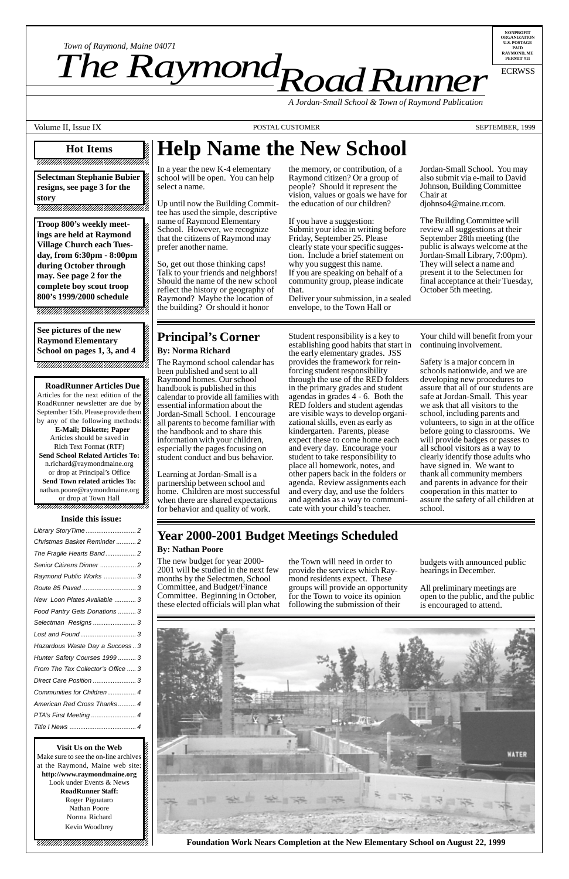12345678901234567890123456789012123456789012345 12345678901234567890123456789012123456789012345

12345678901234567890123456789012123456789012345 **RoadRunner Articles Due** 12345678901234567890123456789012123456789012345 Articles for the next edition of the  $\mathbb Z$ 12345678901234567890123456789012123456789012345 RoadRunner newsletter are due by 12345678901234567890123456789012123456789012345 September 15th. Please provide them by any of the following methods: **E-Mail; Diskette; Paper** Articles should be saved in 12345678901234567890123456789012123456789012345 Rich Text Format (RTF) 12345678901234567890123456789012123456789012345 **Send School Related Articles To:** n.richard@raymondmaine.org 12345678901234567890123456789012123456789012345 or drop at Principal's Office  $\mathbb{Z}$ **Send Town related articles To:**  $15.5$ nathan.poore@raymondmaine.org or drop at Town Hall 12345678901234567890123456789012123456789012345

 $1235678901234567890123456789012345678901234567890123456789012345678901234567890123456789012345678901234567890123456789012345678901234567890123456789012345678901234567890123456789012345678901234567890123456789012345678901$ 12345678901234567890123456789012123456789012345 12345678901234567890123456789012123456789012345 12345678901234567890123456789012123456789012345

12345678901234567890123456789012345678901234567890123456789012345678901234567890123456789012345678901234567890  $123$ 

#### 12345678901234567890123456789012345678901234567890123456789012345678901234567890123456789012345678901234567890 **Hot Items** 12345678901234567890123456789012123456789012345 12345678901234567890123456789012123456789012345 12345678901234567890123456789012123456789012345 12345678901234567890123456789012123456789012345

*Road Runner Town of Raymond, Maine 04071*<br> **The Raymond Raymond** 

**Troop 800's weekly meet-**12345678901234567890123456789012123456789012345 ings are held at Raymond 12345678901234567890123456789012123456789012345 **Village Church each Tues-**12345678901234567890123456789012123456789012345 day, from 6:30pm - 8:00pm 12345678901234567890123456789012123456789012345 during October through **2** 12345678901234567890123456789012123456789012345 **may. See page 2 for the** complete boy scout troop **800's 1999/2000 schedule** 12345678901234567890123456789012123456789012345

 $15.5$ 12345678901234567890123456789012123456789012345 12345678901234567890123456789012123456789012345 12345678901234567890123456789012123456789012345

#### 12345678901234567890123456789012123456789012345 12345678901234567890123456789012123456789012345 **See pictures of the new**

 $1$  5  $-$  5  $-$  5  $-$  5  $-$  5  $-$  5  $-$  5  $-$  5  $-$  5  $-$  5  $-$  5  $-$  5  $-$  5  $-$  5  $-$  5  $-$  5  $-$  5  $-$  5  $-$  5  $-$  5  $-$  5  $-$  5  $-$  5  $-$  5  $-$  5  $-$  5  $-$  5  $-$  5  $-$  5  $-$  5  $-$  5  $-$  5  $-$  5  $-$  5  $-$  5  $-$  5  $-$  5

**Raymond Elementary** 1 5 **School on pages 1, 3, and 4** 1 5 12345678901234567890123456789012123456789012345 12345678901234567890123456789012123456789012345

**NONPROFIT ORGANIZATION U.S. POSTAGE PAID RAYMOND, ME PERMIT #11**

ECRWSS

*A Jordan-Small School & Town of Raymond Publication*

Volume II, Issue IX **POSTAL CUSTOMER** POSTAL CUSTOMER SEPTEMBER, 1999

12345678901234567890123456789012123456789012345 **Selectman Stephanie Bubier** resigns, see page 3 for the  $\&$  $1$  5  $-$  5  $-$  5  $-$  5  $-$  5  $-$  5  $-$  5  $-$  5  $-$  5  $-$  5  $-$  5  $-$  5  $-$  5  $-$  5  $-$  5  $-$  5  $-$  5  $-$  5  $-$  5  $-$  5  $-$  5  $-$  5  $-$  5  $-$  5  $-$  5  $-$  5  $-$  5  $-$  5  $-$  5  $-$  5  $-$  5  $-$  5  $-$  5  $-$  5  $-$  5  $-$  5  $-$  5 **story** 12345678901234567890123456789012123456789012345

12345678901234567890123456789012123456789012345 12345678901234567890123456789012123456789012345 12345678901234567890123456789012123456789012345

| Christmas Basket Reminder  2  |  |
|-------------------------------|--|
| The Fragile Hearts Band 2     |  |
| Senior Citizens Dinner  2     |  |
| Raymond Public Works  3       |  |
|                               |  |
| New Loon Plates Available  3  |  |
| Food Pantry Gets Donations  3 |  |
| Selectman Resigns  3          |  |
|                               |  |

#### 1 5 12345678901234567890123456789012123456789012345 **Inside this issue:**

12345678901234567890123456789012123456789012345 1 5 12345678901234567890123456789012123456789012345

# **Help Name the New School**

In a year the new K-4 elementary school will be open. You can help select a name.

Up until now the Building Committee has used the simple, descriptive name of Raymond Elementary School. However, we recognize that the citizens of Raymond may prefer another name.

So, get out those thinking caps! Talk to your friends and neighbors! Should the name of the new school reflect the history or geography of Raymond? Maybe the location of the building? Or should it honor

the memory, or contribution, of a Raymond citizen? Or a group of people? Should it represent the vision, values or goals we have for the education of our children?

If you have a suggestion: Submit your idea in writing before Friday, September 25. Please clearly state your specific suggestion. Include a brief statement on why you suggest this name. If you are speaking on behalf of a community group, please indicate that.

Deliver your submission, in a sealed envelope, to the Town Hall or

Jordan-Small School. You may also submit via e-mail to David Johnson, Building Committee Chair at

djohnso4@maine.rr.com.

The Building Committee will review all suggestions at their September 28th meeting (the public is always welcome at the Jordan-Small Library, 7:00pm). They will select a name and present it to the Selectmen for final acceptance at their Tuesday, October 5th meeting.

### **Principal's Corner By: Norma Richard**

# **Year 2000-2001 Budget Meetings Scheduled**

#### **By: Nathan Poore**

The new budget for year 2000- 2001 will be studied in the next few months by the Selectmen, School Committee, and Budget/Finance Committee. Beginning in October, these elected officials will plan what

the Town will need in order to provide the services which Raymond residents expect. These groups will provide an opportunity for the Town to voice its opinion following the submission of their

budgets with announced public hearings in December.

All preliminary meetings are open to the public, and the public is encouraged to attend.





The Raymond school calendar has been published and sent to all Raymond homes. Our school handbook is published in this calendar to provide all families with essential information about the Jordan-Small School. I encourage all parents to become familiar with the handbook and to share this information with your children, especially the pages focusing on student conduct and bus behavior.

Learning at Jordan-Small is a partnership between school and home. Children are most successful when there are shared expectations for behavior and quality of work.

Student responsibility is a key to establishing good habits that start in the early elementary grades. JSS provides the framework for reinforcing student responsibility through the use of the RED folders in the primary grades and student agendas in grades 4 - 6. Both the RED folders and student agendas are visible ways to develop organizational skills, even as early as kindergarten. Parents, please expect these to come home each and every day. Encourage your student to take responsibility to place all homework, notes, and other papers back in the folders or agenda. Review assignments each and every day, and use the folders and agendas as a way to communicate with your child's teacher.

Your child will benefit from your continuing involvement.

Safety is a major concern in schools nationwide, and we are developing new procedures to assure that all of our students are safe at Jordan-Small. This year we ask that all visitors to the school, including parents and volunteers, to sign in at the office before going to classrooms. We will provide badges or passes to all school visitors as a way to clearly identify those adults who have signed in. We want to thank all community members and parents in advance for their cooperation in this matter to assure the safety of all children at school.

**Foundation Work Nears Completion at the New Elementary School on August 22, 1999**

| Hazardous Waste Day a Success3     |
|------------------------------------|
| Hunter Safety Courses 1999  3      |
| From The Tax Collector's Office  3 |
|                                    |
| Communities for Children 4         |
| American Red Cross Thanks 4        |
| PTA's First Meeting  4             |
|                                    |

**Visit Us on the Web**  $123$ Make sure to see the on-line archives  $\mathscr{G}$  $\overline{\phantom{a}}$ at the Raymond, Maine web site:  $\hat{\mathscr{L}}$ http://www.raymondmaine.org Look under Events & News  $\frac{2}{3}$  $1235678901234567890123456789012345678901234567890123456789012345678901234567890123456789012345678901234567890123456789012345678901234567890123456789012345678901234567890123456789012345678901234567890123456789012345678901$ **RoadRunner Staff:** Roger Pignataro Nathan Poore 22  $123$ Norma Richard 22  $1235678901234589012345678901234567890123456789012345678901234567890123456789012345678901234567890123456789012345678901234567890123456789012345678901234567890123456789012345678901234567890123456789012345678901234567890123$ Kevin Woodbrey 22  $1$  5  $-$  5  $-$  5  $-$  5  $-$  5  $-$  5  $-$  5  $-$  5  $-$  5  $-$  5  $-$  5  $-$  5  $-$  5  $-$  5  $-$  5  $-$  5  $-$  5  $-$  5  $-$  5  $-$  5  $-$  5  $-$  5  $-$  5  $-$  5  $-$  5  $-$  5  $-$  5  $-$  5  $-$  5  $-$  5  $-$  5  $-$  5  $-$  5  $-$  5  $-$  5  $-$  5  $-$  5  $1235678901234567890123456789012345678901234567890123456789012345678901234567890123456789012345678901234567890123456789012345678901234567890123456789012345678901234567890123456789012345678901234567890123456789012345678901$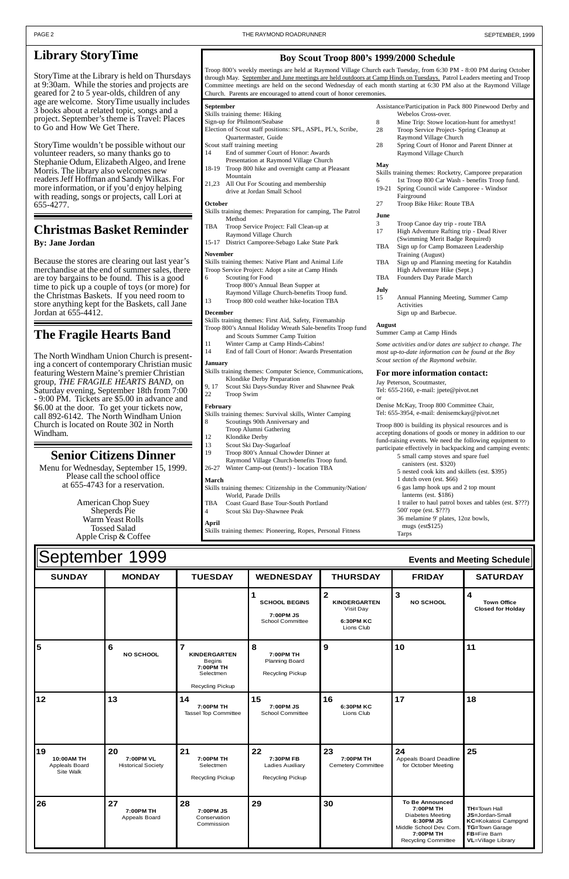| UUPIUI INUI<br>1 U U U<br>$L$ $R$ and meening optication |                                              |                                                                                                      |                                                                    |                                                                                    |                                                                                                                                                   |                                                                                                                               |  |  |
|----------------------------------------------------------|----------------------------------------------|------------------------------------------------------------------------------------------------------|--------------------------------------------------------------------|------------------------------------------------------------------------------------|---------------------------------------------------------------------------------------------------------------------------------------------------|-------------------------------------------------------------------------------------------------------------------------------|--|--|
| <b>SUNDAY</b>                                            | <b>MONDAY</b>                                | <b>TUESDAY</b>                                                                                       | <b>WEDNESDAY</b>                                                   | <b>THURSDAY</b>                                                                    | <b>FRIDAY</b>                                                                                                                                     | <b>SATURDAY</b>                                                                                                               |  |  |
|                                                          |                                              |                                                                                                      | <b>SCHOOL BEGINS</b><br>7:00PM JS<br><b>School Committee</b>       | $\mathbf{2}$<br><b>KINDERGARTEN</b><br>Visit Day<br><b>6:30PM KC</b><br>Lions Club | 3<br><b>NO SCHOOL</b>                                                                                                                             | $\overline{\mathbf{4}}$<br><b>Town Office</b><br><b>Closed for Holday</b>                                                     |  |  |
| 5                                                        | 6<br><b>NO SCHOOL</b>                        | $\overline{7}$<br><b>KINDERGARTEN</b><br>Begins<br>7:00PM TH<br>Selectmen<br><b>Recycling Pickup</b> | 8<br>7:00PM TH<br><b>Planning Board</b><br><b>Recycling Pickup</b> | 9                                                                                  | 10                                                                                                                                                | 11                                                                                                                            |  |  |
| 12                                                       | 13                                           | 14<br>7:00PM TH<br><b>Tassel Top Committee</b>                                                       | 15<br>7:00PM JS<br><b>School Committee</b>                         | 16<br>6:30PM KC<br>Lions Club                                                      | 17                                                                                                                                                | 18                                                                                                                            |  |  |
| 19<br>10:00AM TH<br>Appleals Board<br>Site Walk          | 20<br>7:00PM VL<br><b>Historical Society</b> | 21<br>7:00PM TH<br>Selectmen<br><b>Recycling Pickup</b>                                              | 22<br>7:30PM FB<br>Ladies Auxiliary<br>Recycling Pickup            | 23<br>7:00PM TH<br><b>Cemetery Committee</b>                                       | 24<br>Appeals Board Deadline<br>for October Meeting                                                                                               | 25                                                                                                                            |  |  |
| 26                                                       | 27<br>7:00PM TH<br>Appeals Board             | 28<br>7:00PM JS<br>Conservation<br>Commission                                                        | 29                                                                 | 30                                                                                 | <b>To Be Announced</b><br>7:00PM TH<br><b>Diabetes Meeting</b><br>6:30PM JS<br>Middle School Dev. Com.<br>7:00PM TH<br><b>Recycling Committee</b> | <b>TH=Town Hall</b><br>JS=Jordan-Small<br>KC=Kokatosi Campgnd<br>TG=Town Garage<br>FB=Fire Barn<br><b>VL</b> =Village Library |  |  |

# September 1999 **Events and Meeting Schedule**

### **Boy Scout Troop 800's 1999/2000 Schedule**

Troop 800's weekly meetings are held at Raymond Village Church each Tuesday, from 6:30 PM - 8:00 PM during October through May. September and June meetings are held outdoors at Camp Hinds on Tuesdays. Patrol Leaders meeting and Troop Committee meetings are held on the second Wednesday of each month starting at 6:30 PM also at the Raymond Village Church. Parents are encouraged to attend court of honor ceremonies.

#### **September**

- Skills training theme: Hiking
- Sign-up for Philmont/Seabase
- Election of Scout staff positions: SPL, ASPL, PL's, Scribe, Quartermaster, Guide
- Scout staff training meeting
- 14 End of summer Court of Honor: Awards Presentation at Raymond Village Church
- 18-19 Troop 800 hike and overnight camp at Pleasant Mountain
- 21,23 All Out For Scouting and membership drive at Jordan Small School

#### **October**

- Skills training themes: Preparation for camping, The Patrol Method
- TBA Troop Service Project: Fall Clean-up at Raymond Village Church
- 15-17 District Camporee-Sebago Lake State Park

#### **November**

- Skills training themes: Native Plant and Animal Life
- Troop Service Project: Adopt a site at Camp Hinds Scouting for Food Troop 800's Annual Bean Supper at
- Raymond Village Church-benefits Troop fund. 13 Troop 800 cold weather hike-location TBA

#### **December**

Skills training themes: First Aid, Safety, Firemanship Troop 800's Annual Holiday Wreath Sale-benefits Troop fund

- and Scouts Summer Camp Tuition 11 Winter Camp at Camp Hinds-Cabins!
- 14 End of fall Court of Honor: Awards Presentation

#### **January**

- Skills training themes: Computer Science, Communications, Klondike Derby Preparation
- 9, 17 Scout Ski Days-Sunday River and Shawnee Peak
- 22 Troop Swim

#### **February**

- Skills training themes: Survival skills, Winter Camping
- 8 Scoutings 90th Anniversary and
- Troop Alumni Gathering
- 12 Klondike Derby
- 13 Scout Ski Day-Sugarloaf
- 19 Troop 800's Annual Chowder Dinner at
- Raymond Village Church-benefits Troop fund. 26-27 Winter Camp-out (tents!) - location TBA

#### **March**

- Skills training themes: Citizenship in the Community/Nation/ World, Parade Drills
- TBA Coast Guard Base Tour-South Portland
- 4 Scout Ski Day-Shawnee Peak

**April**

Skills training themes: Pioneering, Ropes, Personal Fitness

#### Assistance/Participation in Pack 800 Pinewood Derby and Webelos Cross-over.

- 8 Mine Trip: Stowe location-hunt for amethyst! 28 Troop Service Project- Spring Cleanup at
- Raymond Village Church 28 Spring Court of Honor and Parent Dinner at Raymond Village Church

#### **May**

- Skills training themes: Rocketry, Camporee preparation
- 1st Troop 800 Car Wash benefits Troop fund. 19-21 Spring Council wide Camporee - Windsor Fairground
- 27 Troop Bike Hike: Route TBA

#### **June**

- 3 Troop Canoe day trip route TBA
- 17 High Adventure Rafting trip Dead River (Swimming Merit Badge Required)
- TBA Sign up for Camp Bomazeen Leadership Training (August)
- TBA Sign up and Planning meeting for Katahdin High Adventure Hike (Sept.)
- TBA Founders Day Parade March

#### **July**

15 Annual Planning Meeting, Summer Camp Activities Sign up and Barbecue.

#### **August**

Summer Camp at Camp Hinds

*Some activities and/or dates are subject to change. The most up-to-date information can be found at the Boy Scout section of the Raymond website.*

#### **For more information contact:**

Jay Peterson, Scoutmaster,

Tel: 655-2160, e-mail: jpete@pivot.net

or Denise McKay, Troop 800 Committee Chair,

Tel: 655-3954, e-mail: denisemckay@pivot.net Troop 800 is building its physical resources and is

accepting donations of goods or money in addition to our fund-raising events. We need the following equipment to participate effectively in backpacking and camping events:

- 5 small camp stoves and spare fuel canisters (est. \$320)
	- 5 nested cook kits and skillets (est. \$395)
	- 1 dutch oven (est. \$66)
	- 6 gas lamp hook ups and 2 top mount
	- lanterns (est. \$186)
	- 1 trailer to haul patrol boxes and tables (est. \$???)
	- 500' rope (est. \$???)
	- 36 melamine 9' plates, 12oz bowls, mugs (est\$125)
	- Tarps

### **Library StoryTime**

StoryTime at the Library is held on Thursdays at 9:30am. While the stories and projects are geared for 2 to 5 year-olds, children of any age are welcome. StoryTime usually includes 3 books about a related topic, songs and a project. September's theme is Travel: Places to Go and How We Get There.

StoryTime wouldn't be possible without our volunteer readers, so many thanks go to Stephanie Odum, Elizabeth Algeo, and Irene Morris. The library also welcomes new readers Jeff Hoffman and Sandy Wilkas. For more information, or if you'd enjoy helping with reading, songs or projects, call Lori at 655-4277.

### **Christmas Basket Reminder**

### **By: Jane Jordan**

Because the stores are clearing out last year's merchandise at the end of summer sales, there are toy bargains to be found. This is a good time to pick up a couple of toys (or more) for the Christmas Baskets. If you need room to store anything kept for the Baskets, call Jane Jordan at 655-4412.

## **The Fragile Hearts Band**

The North Windham Union Church is presenting a concert of contemporary Christian music featuring Western Maine's premier Christian group, *THE FRAGILE HEARTS BAND*, on Saturday evening, September 18th from 7:00 - 9:00 PM. Tickets are \$5.00 in advance and \$6.00 at the door. To get your tickets now, call 892-6142. The North Windham Union Church is located on Route 302 in North Windham.

## **Senior Citizens Dinner**

Menu for Wednesday, September 15, 1999. Please call the school office at 655-4743 for a reservation.

> American Chop Suey Sheperds Pie Warm Yeast Rolls Tossed Salad Apple Crisp & Coffee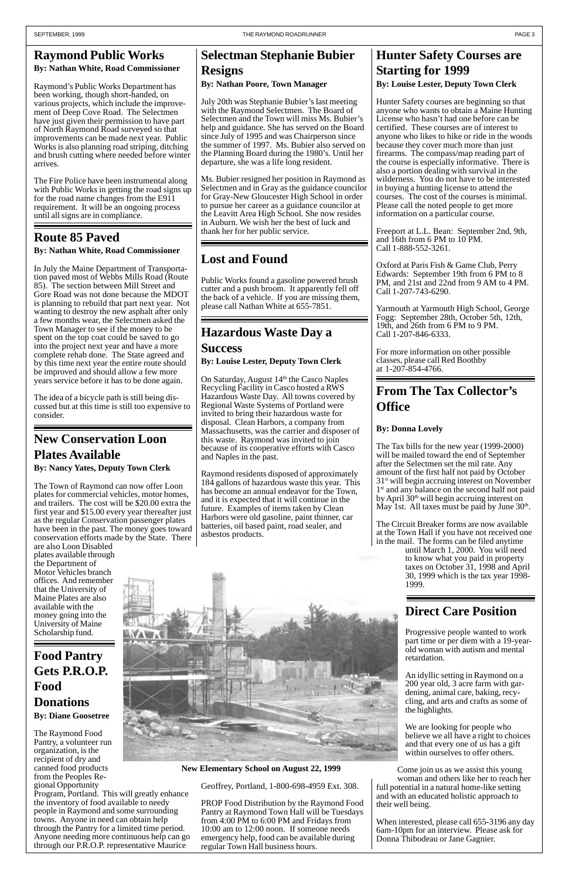### **Raymond Public Works By: Nathan White, Road Commissioner**

Raymond's Public Works Department has been working, though short-handed, on various projects, which include the improvement of Deep Cove Road. The Selectmen have just given their permission to have part of North Raymond Road surveyed so that improvements can be made next year. Public Works is also planning road striping, ditching and brush cutting where needed before winter arrives.

The Fire Police have been instrumental along with Public Works in getting the road signs up for the road name changes from the E911 requirement. It will be an ongoing process until all signs are in compliance.

### **Route 85 Paved**

**By: Nathan White, Road Commissioner**

In July the Maine Department of Transportation paved most of Webbs Mills Road (Route 85). The section between Mill Street and Gore Road was not done because the MDOT is planning to rebuild that part next year. Not wanting to destroy the new asphalt after only a few months wear, the Selectmen asked the Town Manager to see if the money to be spent on the top coat could be saved to go into the project next year and have a more complete rehab done. The State agreed and by this time next year the entire route should be improved and should allow a few more years service before it has to be done again.

The idea of a bicycle path is still being discussed but at this time is still too expensive to consider.

### **Selectman Stephanie Bubier Resigns**

### **By: Nathan Poore, Town Manager**

July 20th was Stephanie Bubier's last meeting with the Raymond Selectmen. The Board of Selectmen and the Town will miss Ms. Bubier's help and guidance. She has served on the Board since July of 1995 and was Chairperson since the summer of 1997. Ms. Bubier also served on the Planning Board during the 1980's. Until her departure, she was a life long resident.

Ms. Bubier resigned her position in Raymond as Selectmen and in Gray as the guidance councilor for Gray-New Gloucester High School in order to pursue her career as a guidance councilor at the Leavitt Area High School. She now resides in Auburn. We wish her the best of luck and thank her for her public service.

### **Hunter Safety Courses are Starting for 1999 By: Louise Lester, Deputy Town Clerk**

On Saturday, August 14<sup>th</sup> the Casco Naples Recycling Facility in Casco hosted a RWS Hazardous Waste Day. All towns covered by Regional Waste Systems of Portland were invited to bring their hazardous waste for disposal. Clean Harbors, a company from Massachusetts, was the carrier and disposer of this waste. Raymond was invited to join because of its cooperative efforts with Casco and Naples in the past.

Hunter Safety courses are beginning so that anyone who wants to obtain a Maine Hunting License who hasn't had one before can be certified. These courses are of interest to anyone who likes to hike or ride in the woods because they cover much more than just firearms. The compass/map reading part of the course is especially informative. There is also a portion dealing with survival in the wilderness. You do not have to be interested in buying a hunting license to attend the courses. The cost of the courses is minimal. Please call the noted people to get more information on a particular course.

Freeport at L.L. Bean: September 2nd, 9th, and 16th from 6 PM to 10 PM. Call 1-888-552-3261.

The Tax bills for the new year (1999-2000) will be mailed toward the end of September after the Selectmen set the mil rate. Any amount of the first half not paid by October 31st will begin accruing interest on November 1<sup>st</sup> and any balance on the second half not paid by April 30<sup>th</sup> will begin accruing interest on May 1st. All taxes must be paid by June  $30<sup>th</sup>$ .

Oxford at Paris Fish & Game Club, Perry Edwards: September 19th from 6 PM to 8 PM, and 21st and 22nd from 9 AM to 4 PM. Call 1-207-743-6290.

Yarmouth at Yarmouth High School, George Fogg: September 28th, October 5th, 12th, 19th, and 26th from 6 PM to 9 PM. Call 1-207-846-6333.

For more information on other possible classes, please call Red Boothby at 1-207-854-4766.

### **Direct Care Position**

Progressive people wanted to work part time or per diem with a 19-year-

old woman with autism and mental retardation.

An idyllic setting in Raymond on a 200 year old, 3 acre farm with gardening, animal care, baking, recycling, and arts and crafts as some of the highlights.

We are looking for people who believe we all have a right to choices and that every one of us has a gift within ourselves to offer others.

Come join us as we assist this young woman and others like her to reach her full potential in a natural home-like setting and with an educated holistic approach to their well being.

When interested, please call 655-3196 any day 6am-10pm for an interview. Please ask for Donna Thibodeau or Jane Gagnier.

### **Food Pantry Gets P.R.O.P. Food Donations By: Diane Goosetree**

The Raymond Food Pantry, a volunteer run organization, is the recipient of dry and canned food products from the Peoples Regional Opportunity Program, Portland. This will greatly enhance the inventory of food available to needy people in Raymond and some surrounding towns. Anyone in need can obtain help through the Pantry for a limited time period. Anyone needing more continuous help can go through our P.R.O.P. representative Maurice



## **Hazardous Waste Day a**

### **Success**

**By: Louise Lester, Deputy Town Clerk**

Raymond residents disposed of approximately 184 gallons of hazardous waste this year. This has become an annual endeavor for the Town, and it is expected that it will continue in the future. Examples of items taken by Clean Harbors were old gasoline, paint thinner, car batteries, oil based paint, road sealer, and asbestos products.

### **New Conservation Loon Plates Available**

**By: Nancy Yates, Deputy Town Clerk**

The Town of Raymond can now offer Loon plates for commercial vehicles, motor homes, and trailers. The cost will be \$20.00 extra the first year and \$15.00 every year thereafter just as the regular Conservation passenger plates have been in the past. The money goes toward conservation efforts made by the State. There

are also Loon Disabled plates available through the Department of Motor Vehicles branch offices. And remember that the University of Maine Plates are also available with the money going into the University of Maine Scholarship fund.

## **From The Tax Collector's Office**

### **By: Donna Lovely**

The Circuit Breaker forms are now available at the Town Hall if you have not received one in the mail. The forms can be filed anytime

until March 1, 2000. You will need to know what you paid in property taxes on October 31, 1998 and April 30, 1999 which is the tax year 1998- 1999.

### **Lost and Found**

Public Works found a gasoline powered brush cutter and a push broom. It apparently fell off the back of a vehicle. If you are missing them, please call Nathan White at 655-7851.

Geoffrey, Portland, 1-800-698-4959 Ext. 308.

PROP Food Distribution by the Raymond Food Pantry at Raymond Town Hall will be Tuesdays from 4:00 PM to 6:00 PM and Fridays from 10:00 am to 12:00 noon. If someone needs emergency help, food can be available during regular Town Hall business hours.

**New Elementary School on August 22, 1999**